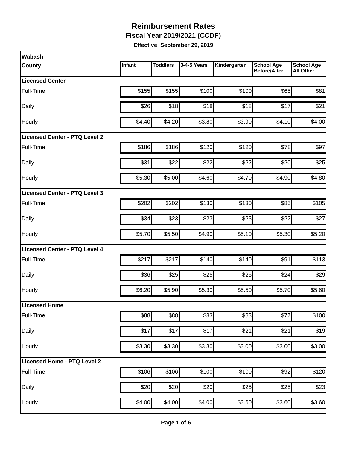**Fiscal Year 2019/2021 (CCDF)**

| Wabash                               |        |                 |             |              |                                          |                                       |
|--------------------------------------|--------|-----------------|-------------|--------------|------------------------------------------|---------------------------------------|
| <b>County</b>                        | Infant | <b>Toddlers</b> | 3-4-5 Years | Kindergarten | <b>School Age</b><br><b>Before/After</b> | <b>School Age</b><br><b>All Other</b> |
| <b>Licensed Center</b>               |        |                 |             |              |                                          |                                       |
| Full-Time                            | \$155  | \$155           | \$100       | \$100        | \$65                                     | \$81                                  |
| Daily                                | \$26   | \$18            | \$18        | \$18         | \$17                                     | \$21                                  |
| Hourly                               | \$4.40 | \$4.20          | \$3.80      | \$3.90       | \$4.10                                   | \$4.00                                |
| <b>Licensed Center - PTQ Level 2</b> |        |                 |             |              |                                          |                                       |
| Full-Time                            | \$186  | \$186           | \$120       | \$120        | \$78                                     | \$97                                  |
| Daily                                | \$31   | \$22            | \$22        | \$22         | \$20                                     | \$25                                  |
| Hourly                               | \$5.30 | \$5.00          | \$4.60      | \$4.70       | \$4.90                                   | \$4.80                                |
| Licensed Center - PTQ Level 3        |        |                 |             |              |                                          |                                       |
| Full-Time                            | \$202  | \$202           | \$130       | \$130        | \$85                                     | \$105                                 |
| Daily                                | \$34   | \$23            | \$23        | \$23         | \$22                                     | \$27                                  |
| Hourly                               | \$5.70 | \$5.50          | \$4.90      | \$5.10       | \$5.30                                   | \$5.20                                |
| <b>Licensed Center - PTQ Level 4</b> |        |                 |             |              |                                          |                                       |
| Full-Time                            | \$217  | \$217           | \$140       | \$140        | \$91                                     | \$113                                 |
| Daily                                | \$36   | \$25            | \$25        | \$25         | \$24                                     | \$29                                  |
| Hourly                               | \$6.20 | \$5.90          | \$5.30      | \$5.50       | \$5.70                                   | \$5.60                                |
| Licensed Home                        |        |                 |             |              |                                          |                                       |
| Full-Time                            | \$88   | \$88            | \$83        | \$83         | \$77                                     | \$100                                 |
| Daily                                | \$17   | \$17            | \$17        | \$21         | \$21                                     | \$19                                  |
| Hourly                               | \$3.30 | \$3.30          | \$3.30      | \$3.00       | \$3.00                                   | \$3.00                                |
| Licensed Home - PTQ Level 2          |        |                 |             |              |                                          |                                       |
| Full-Time                            | \$106  | \$106           | \$100       | \$100        | \$92                                     | \$120                                 |
| Daily                                | \$20   | \$20            | \$20        | \$25         | \$25                                     | \$23                                  |
| Hourly                               | \$4.00 | \$4.00          | \$4.00      | \$3.60       | \$3.60                                   | \$3.60                                |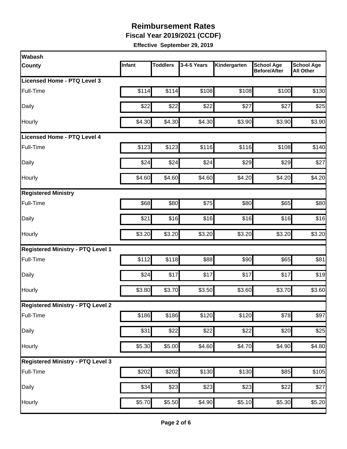**Fiscal Year 2019/2021 (CCDF)**

| Wabash                                   |        |                  |             |                    |                                          |                                       |
|------------------------------------------|--------|------------------|-------------|--------------------|------------------------------------------|---------------------------------------|
| <b>County</b>                            | Infant | <b>Toddlers</b>  | 3-4-5 Years | Kindergarten       | <b>School Age</b><br><b>Before/After</b> | <b>School Age</b><br><b>All Other</b> |
| Licensed Home - PTQ Level 3              |        |                  |             |                    |                                          |                                       |
| Full-Time                                | \$114  | \$114            | \$108       | \$108              | \$100                                    | \$130                                 |
| Daily                                    | \$22   | \$22             | \$22        | \$27               | \$27                                     | \$25                                  |
| Hourly                                   | \$4.30 | \$4.30           | \$4.30      | \$3.90             | \$3.90                                   | \$3.90                                |
| Licensed Home - PTQ Level 4              |        |                  |             |                    |                                          |                                       |
| Full-Time                                | \$123  | \$123            | \$116       | \$116              | \$108                                    | \$140                                 |
| Daily                                    | \$24   | \$24             | \$24        | \$29               | \$29                                     | \$27                                  |
| Hourly                                   | \$4.60 | \$4.60           | \$4.60      | \$4.20             | \$4.20                                   | \$4.20                                |
| <b>Registered Ministry</b>               |        |                  |             |                    |                                          |                                       |
| Full-Time                                | \$68   | \$80             | \$75        | \$80               | \$65                                     | \$80                                  |
| Daily                                    | \$21   | \$16             | \$16        | \$16               | \$16                                     | \$16                                  |
| Hourly                                   | \$3.20 | \$3.20           | \$3.20      | \$3.20             | \$3.20                                   | \$3.20                                |
| <b>Registered Ministry - PTQ Level 1</b> |        |                  |             |                    |                                          |                                       |
| Full-Time                                | \$112  | \$118            | \$88        | \$90               | \$65                                     | \$81                                  |
| Daily                                    | \$24   | \$17             | \$17        | \$17               | \$17                                     | \$19                                  |
| Hourly                                   | \$3.80 | \$3.70           | \$3.50      | \$3.60             | \$3.70                                   | \$3.60                                |
| <b>Registered Ministry - PTQ Level 2</b> |        |                  |             |                    |                                          |                                       |
| Full-Time                                | \$186  | \$186            | \$120       | \$120              | \$78                                     | \$97                                  |
| Daily                                    | \$31   | $\overline{$}22$ | \$22        | \$22               | \$20                                     | \$25                                  |
| Hourly                                   | \$5.30 | \$5.00           | \$4.60      | \$4.70             | \$4.90                                   | \$4.80                                |
| <b>Registered Ministry - PTQ Level 3</b> |        |                  |             |                    |                                          |                                       |
| Full-Time                                | \$202  | \$202            | \$130       | \$130              | \$85                                     | \$105                                 |
| Daily                                    | \$34   | \$23             | \$23        | \$23               | \$22                                     | \$27                                  |
| Hourly                                   | \$5.70 | \$5.50           | \$4.90      | $\overline{$5.10}$ | \$5.30                                   | \$5.20                                |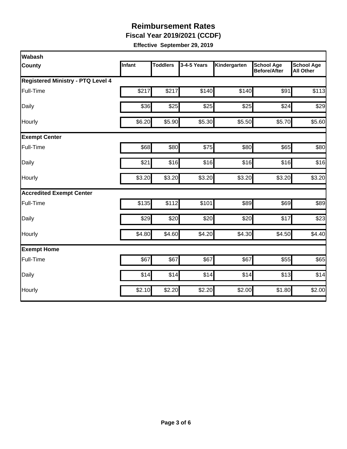**Fiscal Year 2019/2021 (CCDF)**

| <b>Wabash</b>                            |        |                 |             |              |                                          |                                       |  |  |  |
|------------------------------------------|--------|-----------------|-------------|--------------|------------------------------------------|---------------------------------------|--|--|--|
| County                                   | Infant | <b>Toddlers</b> | 3-4-5 Years | Kindergarten | <b>School Age</b><br><b>Before/After</b> | <b>School Age</b><br><b>All Other</b> |  |  |  |
| <b>Registered Ministry - PTQ Level 4</b> |        |                 |             |              |                                          |                                       |  |  |  |
| Full-Time                                | \$217  | \$217           | \$140       | \$140        | \$91                                     | \$113                                 |  |  |  |
| Daily                                    | \$36   | \$25            | \$25        | \$25         | \$24                                     | \$29                                  |  |  |  |
| Hourly                                   | \$6.20 | \$5.90          | \$5.30      | \$5.50       | \$5.70                                   | \$5.60                                |  |  |  |
| <b>Exempt Center</b>                     |        |                 |             |              |                                          |                                       |  |  |  |
| Full-Time                                | \$68   | \$80            | \$75        | \$80         | \$65                                     | \$80                                  |  |  |  |
| Daily                                    | \$21   | \$16            | \$16        | \$16         | \$16                                     | \$16                                  |  |  |  |
| Hourly                                   | \$3.20 | \$3.20          | \$3.20      | \$3.20       | \$3.20                                   | \$3.20                                |  |  |  |
| <b>Accredited Exempt Center</b>          |        |                 |             |              |                                          |                                       |  |  |  |
| Full-Time                                | \$135  | \$112           | \$101       | \$89         | \$69                                     | \$89                                  |  |  |  |
| Daily                                    | \$29   | \$20            | \$20        | \$20         | \$17                                     | \$23                                  |  |  |  |
| Hourly                                   | \$4.80 | \$4.60          | \$4.20      | \$4.30       | \$4.50                                   | \$4.40                                |  |  |  |
| <b>Exempt Home</b>                       |        |                 |             |              |                                          |                                       |  |  |  |
| Full-Time                                | \$67   | \$67            | \$67        | \$67         | \$55                                     | \$65                                  |  |  |  |
| Daily                                    | \$14   | \$14            | \$14        | \$14         | \$13                                     | \$14                                  |  |  |  |
| Hourly                                   | \$2.10 | \$2.20          | \$2.20      | \$2.00       | \$1.80                                   | \$2.00                                |  |  |  |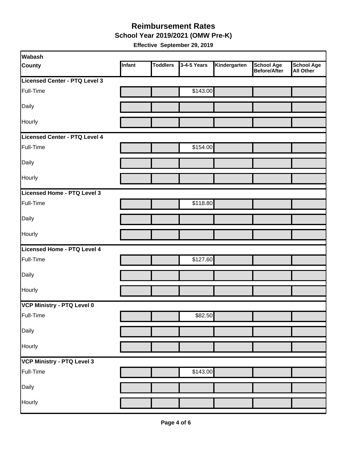#### **School Year 2019/2021 (OMW Pre-K) Reimbursement Rates**

| <b>Wabash</b>                 |        |                 |             |              |                                          |                                       |
|-------------------------------|--------|-----------------|-------------|--------------|------------------------------------------|---------------------------------------|
| <b>County</b>                 | Infant | <b>Toddlers</b> | 3-4-5 Years | Kindergarten | <b>School Age</b><br><b>Before/After</b> | <b>School Age</b><br><b>All Other</b> |
| Licensed Center - PTQ Level 3 |        |                 |             |              |                                          |                                       |
| Full-Time                     |        |                 | \$143.00    |              |                                          |                                       |
| Daily                         |        |                 |             |              |                                          |                                       |
| Hourly                        |        |                 |             |              |                                          |                                       |
| Licensed Center - PTQ Level 4 |        |                 |             |              |                                          |                                       |
| Full-Time                     |        |                 | \$154.00    |              |                                          |                                       |
| Daily                         |        |                 |             |              |                                          |                                       |
| Hourly                        |        |                 |             |              |                                          |                                       |
| Licensed Home - PTQ Level 3   |        |                 |             |              |                                          |                                       |
| Full-Time                     |        |                 | \$118.80    |              |                                          |                                       |
| Daily                         |        |                 |             |              |                                          |                                       |
| Hourly                        |        |                 |             |              |                                          |                                       |
| Licensed Home - PTQ Level 4   |        |                 |             |              |                                          |                                       |
| Full-Time                     |        |                 | \$127.60    |              |                                          |                                       |
| Daily                         |        |                 |             |              |                                          |                                       |
| Hourly                        |        |                 |             |              |                                          |                                       |
| VCP Ministry - PTQ Level 0    |        |                 |             |              |                                          |                                       |
| Full-Time                     |        |                 | \$82.50     |              |                                          |                                       |
| Daily                         |        |                 |             |              |                                          |                                       |
| Hourly                        |        |                 |             |              |                                          |                                       |
| VCP Ministry - PTQ Level 3    |        |                 |             |              |                                          |                                       |
| Full-Time                     |        |                 | \$143.00    |              |                                          |                                       |
| Daily                         |        |                 |             |              |                                          |                                       |
| Hourly                        |        |                 |             |              |                                          |                                       |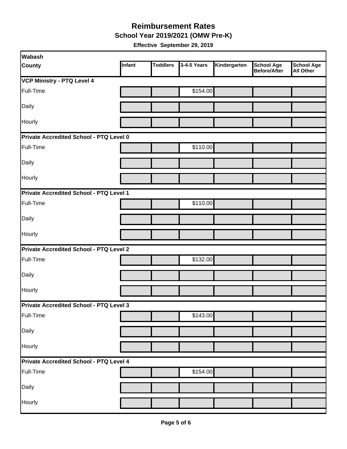**School Year 2019/2021 (OMW Pre-K)**

| Wabash                                  |        |                 |             |              |                                          |                                       |  |  |
|-----------------------------------------|--------|-----------------|-------------|--------------|------------------------------------------|---------------------------------------|--|--|
| <b>County</b>                           | Infant | <b>Toddlers</b> | 3-4-5 Years | Kindergarten | <b>School Age</b><br><b>Before/After</b> | <b>School Age</b><br><b>All Other</b> |  |  |
| <b>VCP Ministry - PTQ Level 4</b>       |        |                 |             |              |                                          |                                       |  |  |
| Full-Time                               |        |                 | \$154.00    |              |                                          |                                       |  |  |
| Daily                                   |        |                 |             |              |                                          |                                       |  |  |
| Hourly                                  |        |                 |             |              |                                          |                                       |  |  |
| Private Accredited School - PTQ Level 0 |        |                 |             |              |                                          |                                       |  |  |
| Full-Time                               |        |                 | \$110.00    |              |                                          |                                       |  |  |
| Daily                                   |        |                 |             |              |                                          |                                       |  |  |
| Hourly                                  |        |                 |             |              |                                          |                                       |  |  |
| Private Accredited School - PTQ Level 1 |        |                 |             |              |                                          |                                       |  |  |
| Full-Time                               |        |                 | \$110.00    |              |                                          |                                       |  |  |
| Daily                                   |        |                 |             |              |                                          |                                       |  |  |
| Hourly                                  |        |                 |             |              |                                          |                                       |  |  |
| Private Accredited School - PTQ Level 2 |        |                 |             |              |                                          |                                       |  |  |
| Full-Time                               |        |                 | \$132.00    |              |                                          |                                       |  |  |
| Daily                                   |        |                 |             |              |                                          |                                       |  |  |
| Hourly                                  |        |                 |             |              |                                          |                                       |  |  |
| Private Accredited School - PTQ Level 3 |        |                 |             |              |                                          |                                       |  |  |
| Full-Time                               |        |                 | \$143.00    |              |                                          |                                       |  |  |
| Daily                                   |        |                 |             |              |                                          |                                       |  |  |
| Hourly                                  |        |                 |             |              |                                          |                                       |  |  |
| Private Accredited School - PTQ Level 4 |        |                 |             |              |                                          |                                       |  |  |
| Full-Time                               |        |                 | \$154.00    |              |                                          |                                       |  |  |
| Daily                                   |        |                 |             |              |                                          |                                       |  |  |
| Hourly                                  |        |                 |             |              |                                          |                                       |  |  |